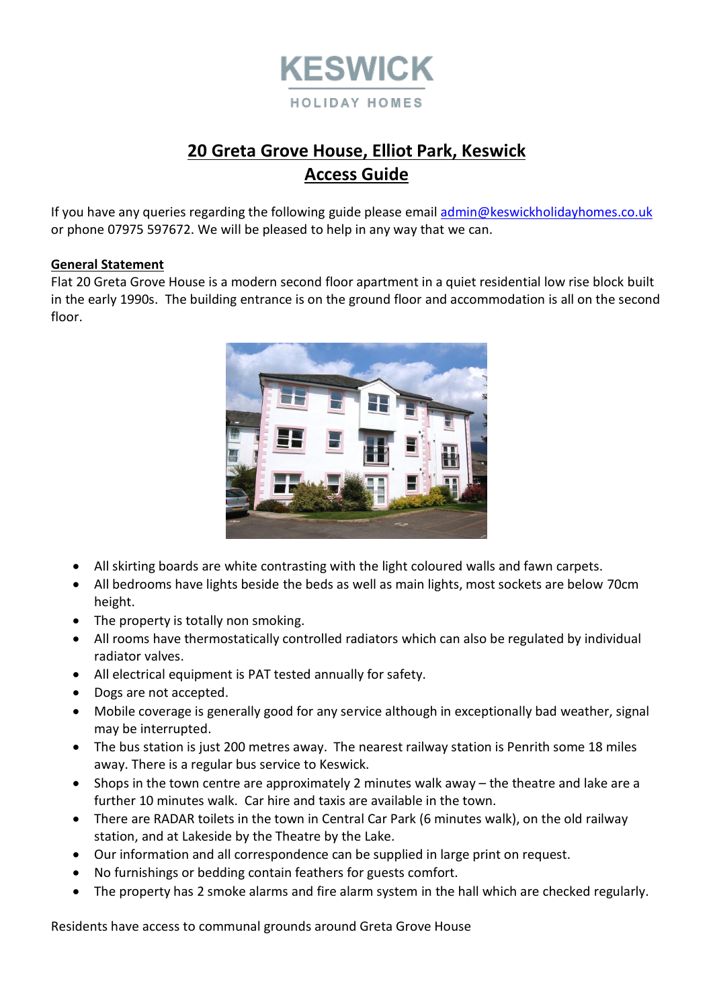

# **20 Greta Grove House, Elliot Park, Keswick Access Guide**

If you have any queries regarding the following guide please emai[l admin@keswickholidayhomes.co.uk](mailto:admin@keswickholidayhomes.co.uk) or phone 07975 597672. We will be pleased to help in any way that we can.

# **General Statement**

Flat 20 Greta Grove House is a modern second floor apartment in a quiet residential low rise block built in the early 1990s. The building entrance is on the ground floor and accommodation is all on the second floor.



- All skirting boards are white contrasting with the light coloured walls and fawn carpets.
- All bedrooms have lights beside the beds as well as main lights, most sockets are below 70cm height.
- The property is totally non smoking.
- All rooms have thermostatically controlled radiators which can also be regulated by individual radiator valves.
- All electrical equipment is PAT tested annually for safety.
- Dogs are not accepted.
- Mobile coverage is generally good for any service although in exceptionally bad weather, signal may be interrupted.
- The bus station is just 200 metres away. The nearest railway station is Penrith some 18 miles away. There is a regular bus service to Keswick.
- Shops in the town centre are approximately 2 minutes walk away the theatre and lake are a further 10 minutes walk. Car hire and taxis are available in the town.
- There are RADAR toilets in the town in Central Car Park (6 minutes walk), on the old railway station, and at Lakeside by the Theatre by the Lake.
- Our information and all correspondence can be supplied in large print on request.
- No furnishings or bedding contain feathers for guests comfort.
- The property has 2 smoke alarms and fire alarm system in the hall which are checked regularly.

Residents have access to communal grounds around Greta Grove House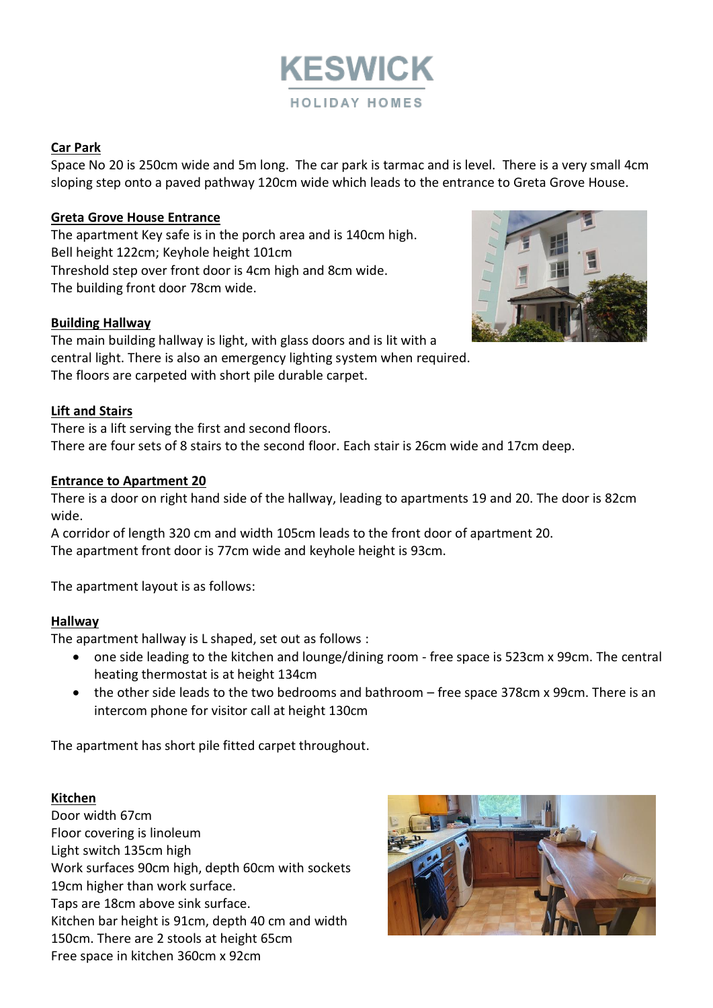

# **Car Park**

Space No 20 is 250cm wide and 5m long. The car park is tarmac and is level. There is a very small 4cm sloping step onto a paved pathway 120cm wide which leads to the entrance to Greta Grove House.

# **Greta Grove House Entrance**

The apartment Key safe is in the porch area and is 140cm high. Bell height 122cm; Keyhole height 101cm Threshold step over front door is 4cm high and 8cm wide. The building front door 78cm wide.

# **Building Hallway**

The main building hallway is light, with glass doors and is lit with a central light. There is also an emergency lighting system when required. The floors are carpeted with short pile durable carpet.

# **Lift and Stairs**

There is a lift serving the first and second floors. There are four sets of 8 stairs to the second floor. Each stair is 26cm wide and 17cm deep.

# **Entrance to Apartment 20**

There is a door on right hand side of the hallway, leading to apartments 19 and 20. The door is 82cm wide.

A corridor of length 320 cm and width 105cm leads to the front door of apartment 20. The apartment front door is 77cm wide and keyhole height is 93cm.

The apartment layout is as follows:

#### **Hallway**

The apartment hallway is L shaped, set out as follows :

- one side leading to the kitchen and lounge/dining room free space is 523cm x 99cm. The central heating thermostat is at height 134cm
- the other side leads to the two bedrooms and bathroom free space 378cm x 99cm. There is an intercom phone for visitor call at height 130cm

The apartment has short pile fitted carpet throughout.

# **Kitchen**

Door width 67cm Floor covering is linoleum Light switch 135cm high Work surfaces 90cm high, depth 60cm with sockets 19cm higher than work surface. Taps are 18cm above sink surface. Kitchen bar height is 91cm, depth 40 cm and width 150cm. There are 2 stools at height 65cm Free space in kitchen 360cm x 92cm



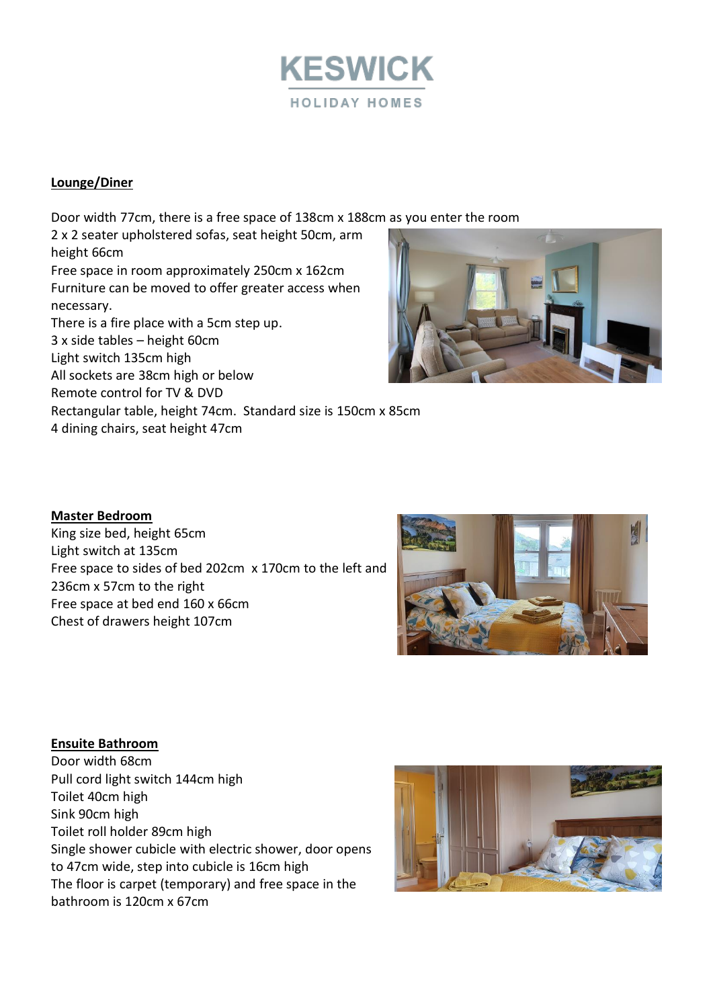

# **Lounge/Diner**

Door width 77cm, there is a free space of 138cm x 188cm as you enter the room

2 x 2 seater upholstered sofas, seat height 50cm, arm height 66cm Free space in room approximately 250cm x 162cm Furniture can be moved to offer greater access when necessary. There is a fire place with a 5cm step up. 3 x side tables – height 60cm Light switch 135cm high All sockets are 38cm high or below Remote control for TV & DVD Rectangular table, height 74cm. Standard size is 150cm x 85cm 4 dining chairs, seat height 47cm



#### **Master Bedroom**

King size bed, height 65cm Light switch at 135cm Free space to sides of bed 202cm x 170cm to the left and 236cm x 57cm to the right Free space at bed end 160 x 66cm Chest of drawers height 107cm



# **Ensuite Bathroom** Door width 68cm Pull cord light switch 144cm high Toilet 40cm high Sink 90cm high Toilet roll holder 89cm high Single shower cubicle with electric shower, door opens to 47cm wide, step into cubicle is 16cm high The floor is carpet (temporary) and free space in the bathroom is 120cm x 67cm